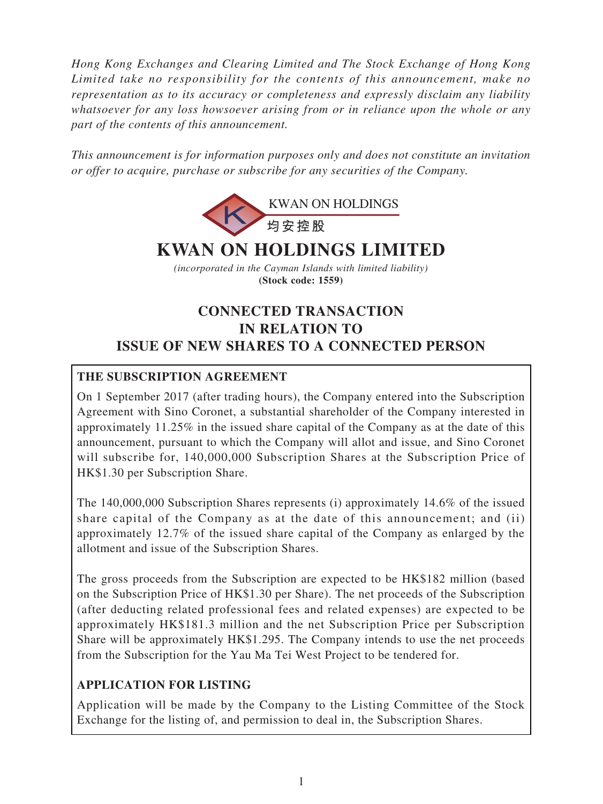*Hong Kong Exchanges and Clearing Limited and The Stock Exchange of Hong Kong Limited take no responsibility for the contents of this announcement, make no representation as to its accuracy or completeness and expressly disclaim any liability whatsoever for any loss howsoever arising from or in reliance upon the whole or any part of the contents of this announcement.*

*This announcement is for information purposes only and does not constitute an invitation or offer to acquire, purchase or subscribe for any securities of the Company.*



# **KWAN ON HOLDINGS LIMITED**

*(incorporated in the Cayman Islands with limited liability)* **(Stock code: 1559)**

# **CONNECTED TRANSACTION IN RELATION TO ISSUE OF NEW SHARES TO A CONNECTED PERSON**

# **THE SUBSCRIPTION AGREEMENT**

On 1 September 2017 (after trading hours), the Company entered into the Subscription Agreement with Sino Coronet, a substantial shareholder of the Company interested in approximately 11.25% in the issued share capital of the Company as at the date of this announcement, pursuant to which the Company will allot and issue, and Sino Coronet will subscribe for, 140,000,000 Subscription Shares at the Subscription Price of HK\$1.30 per Subscription Share.

The 140,000,000 Subscription Shares represents (i) approximately 14.6% of the issued share capital of the Company as at the date of this announcement; and (ii) approximately 12.7% of the issued share capital of the Company as enlarged by the allotment and issue of the Subscription Shares.

The gross proceeds from the Subscription are expected to be HK\$182 million (based on the Subscription Price of HK\$1.30 per Share). The net proceeds of the Subscription (after deducting related professional fees and related expenses) are expected to be approximately HK\$181.3 million and the net Subscription Price per Subscription Share will be approximately HK\$1.295. The Company intends to use the net proceeds from the Subscription for the Yau Ma Tei West Project to be tendered for.

# **APPLICATION FOR LISTING**

Application will be made by the Company to the Listing Committee of the Stock Exchange for the listing of, and permission to deal in, the Subscription Shares.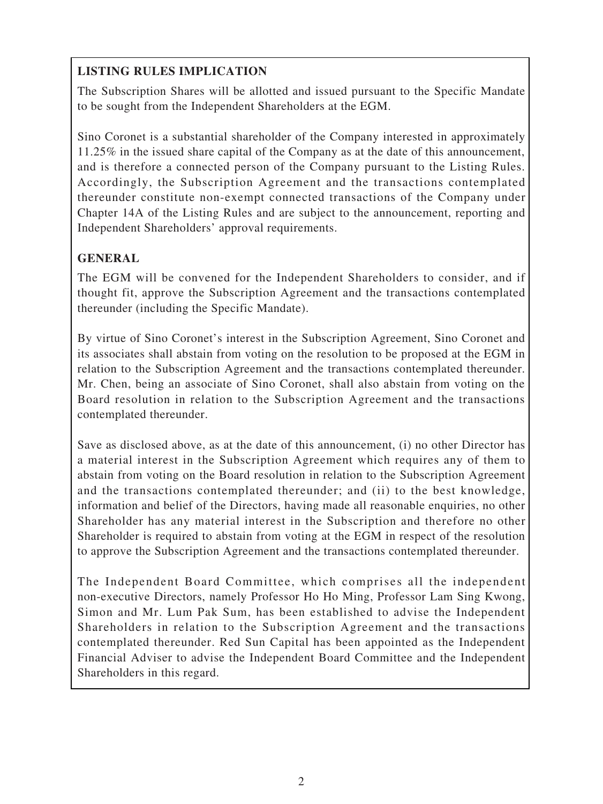# **LISTING RULES IMPLICATION**

The Subscription Shares will be allotted and issued pursuant to the Specific Mandate to be sought from the Independent Shareholders at the EGM.

Sino Coronet is a substantial shareholder of the Company interested in approximately 11.25% in the issued share capital of the Company as at the date of this announcement, and is therefore a connected person of the Company pursuant to the Listing Rules. Accordingly, the Subscription Agreement and the transactions contemplated thereunder constitute non-exempt connected transactions of the Company under Chapter 14A of the Listing Rules and are subject to the announcement, reporting and Independent Shareholders' approval requirements.

## **GENERAL**

The EGM will be convened for the Independent Shareholders to consider, and if thought fit, approve the Subscription Agreement and the transactions contemplated thereunder (including the Specific Mandate).

By virtue of Sino Coronet's interest in the Subscription Agreement, Sino Coronet and its associates shall abstain from voting on the resolution to be proposed at the EGM in relation to the Subscription Agreement and the transactions contemplated thereunder. Mr. Chen, being an associate of Sino Coronet, shall also abstain from voting on the Board resolution in relation to the Subscription Agreement and the transactions contemplated thereunder.

Save as disclosed above, as at the date of this announcement, (i) no other Director has a material interest in the Subscription Agreement which requires any of them to abstain from voting on the Board resolution in relation to the Subscription Agreement and the transactions contemplated thereunder; and (ii) to the best knowledge, information and belief of the Directors, having made all reasonable enquiries, no other Shareholder has any material interest in the Subscription and therefore no other Shareholder is required to abstain from voting at the EGM in respect of the resolution to approve the Subscription Agreement and the transactions contemplated thereunder.

The Independent Board Committee, which comprises all the independent non-executive Directors, namely Professor Ho Ho Ming, Professor Lam Sing Kwong, Simon and Mr. Lum Pak Sum, has been established to advise the Independent Shareholders in relation to the Subscription Agreement and the transactions contemplated thereunder. Red Sun Capital has been appointed as the Independent Financial Adviser to advise the Independent Board Committee and the Independent Shareholders in this regard.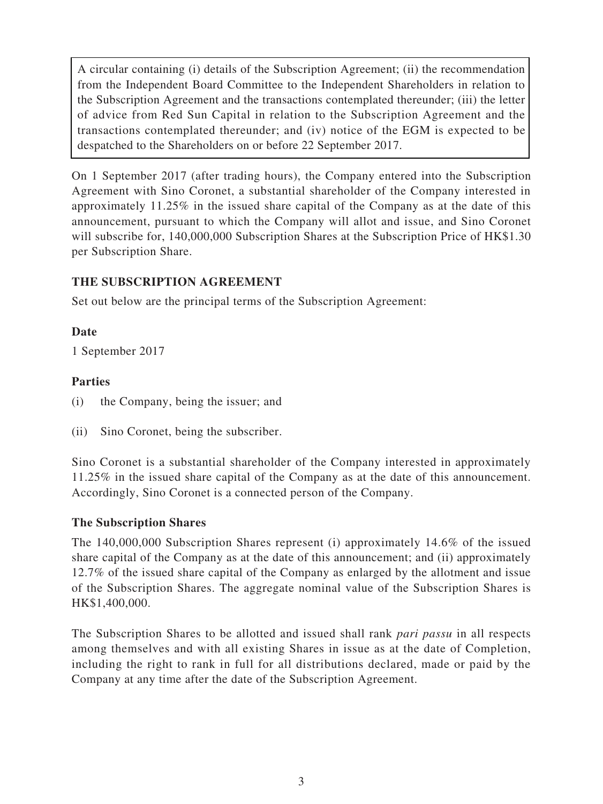A circular containing (i) details of the Subscription Agreement; (ii) the recommendation from the Independent Board Committee to the Independent Shareholders in relation to the Subscription Agreement and the transactions contemplated thereunder; (iii) the letter of advice from Red Sun Capital in relation to the Subscription Agreement and the transactions contemplated thereunder; and (iv) notice of the EGM is expected to be despatched to the Shareholders on or before 22 September 2017.

On 1 September 2017 (after trading hours), the Company entered into the Subscription Agreement with Sino Coronet, a substantial shareholder of the Company interested in approximately 11.25% in the issued share capital of the Company as at the date of this announcement, pursuant to which the Company will allot and issue, and Sino Coronet will subscribe for, 140,000,000 Subscription Shares at the Subscription Price of HK\$1.30 per Subscription Share.

## **THE SUBSCRIPTION AGREEMENT**

Set out below are the principal terms of the Subscription Agreement:

#### **Date**

1 September 2017

#### **Parties**

- (i) the Company, being the issuer; and
- (ii) Sino Coronet, being the subscriber.

Sino Coronet is a substantial shareholder of the Company interested in approximately 11.25% in the issued share capital of the Company as at the date of this announcement. Accordingly, Sino Coronet is a connected person of the Company.

#### **The Subscription Shares**

The 140,000,000 Subscription Shares represent (i) approximately 14.6% of the issued share capital of the Company as at the date of this announcement; and (ii) approximately 12.7% of the issued share capital of the Company as enlarged by the allotment and issue of the Subscription Shares. The aggregate nominal value of the Subscription Shares is HK\$1,400,000.

The Subscription Shares to be allotted and issued shall rank *pari passu* in all respects among themselves and with all existing Shares in issue as at the date of Completion, including the right to rank in full for all distributions declared, made or paid by the Company at any time after the date of the Subscription Agreement.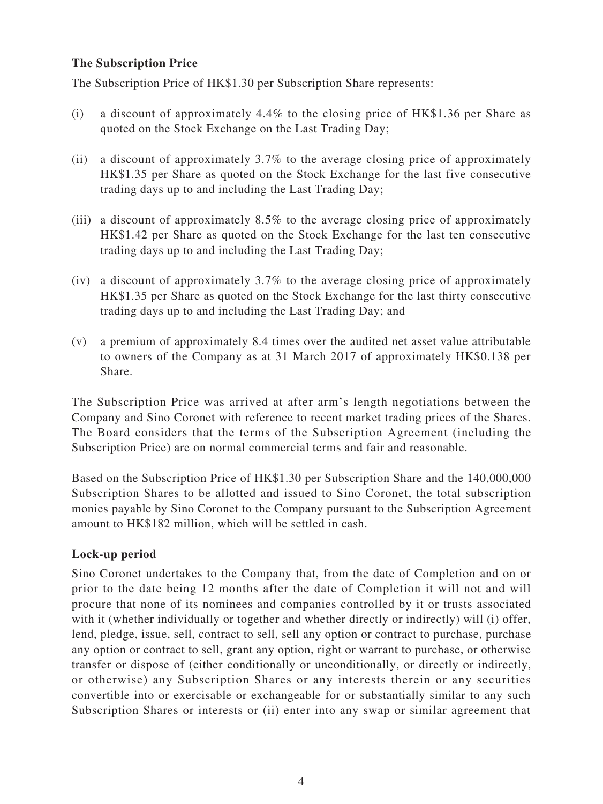#### **The Subscription Price**

The Subscription Price of HK\$1.30 per Subscription Share represents:

- (i) a discount of approximately 4.4% to the closing price of HK\$1.36 per Share as quoted on the Stock Exchange on the Last Trading Day;
- (ii) a discount of approximately 3.7% to the average closing price of approximately HK\$1.35 per Share as quoted on the Stock Exchange for the last five consecutive trading days up to and including the Last Trading Day;
- (iii) a discount of approximately 8.5% to the average closing price of approximately HK\$1.42 per Share as quoted on the Stock Exchange for the last ten consecutive trading days up to and including the Last Trading Day;
- (iv) a discount of approximately 3.7% to the average closing price of approximately HK\$1.35 per Share as quoted on the Stock Exchange for the last thirty consecutive trading days up to and including the Last Trading Day; and
- (v) a premium of approximately 8.4 times over the audited net asset value attributable to owners of the Company as at 31 March 2017 of approximately HK\$0.138 per Share.

The Subscription Price was arrived at after arm's length negotiations between the Company and Sino Coronet with reference to recent market trading prices of the Shares. The Board considers that the terms of the Subscription Agreement (including the Subscription Price) are on normal commercial terms and fair and reasonable.

Based on the Subscription Price of HK\$1.30 per Subscription Share and the 140,000,000 Subscription Shares to be allotted and issued to Sino Coronet, the total subscription monies payable by Sino Coronet to the Company pursuant to the Subscription Agreement amount to HK\$182 million, which will be settled in cash.

#### **Lock-up period**

Sino Coronet undertakes to the Company that, from the date of Completion and on or prior to the date being 12 months after the date of Completion it will not and will procure that none of its nominees and companies controlled by it or trusts associated with it (whether individually or together and whether directly or indirectly) will (i) offer, lend, pledge, issue, sell, contract to sell, sell any option or contract to purchase, purchase any option or contract to sell, grant any option, right or warrant to purchase, or otherwise transfer or dispose of (either conditionally or unconditionally, or directly or indirectly, or otherwise) any Subscription Shares or any interests therein or any securities convertible into or exercisable or exchangeable for or substantially similar to any such Subscription Shares or interests or (ii) enter into any swap or similar agreement that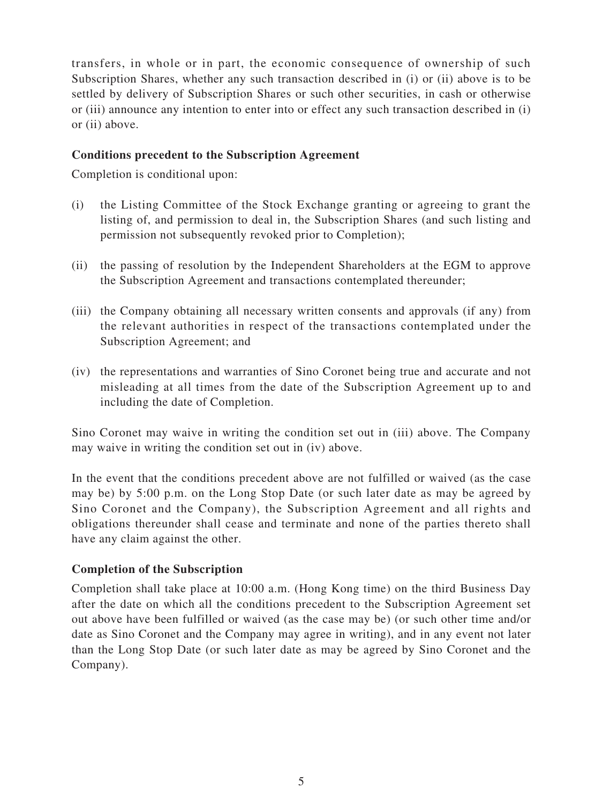transfers, in whole or in part, the economic consequence of ownership of such Subscription Shares, whether any such transaction described in (i) or (ii) above is to be settled by delivery of Subscription Shares or such other securities, in cash or otherwise or (iii) announce any intention to enter into or effect any such transaction described in (i) or (ii) above.

#### **Conditions precedent to the Subscription Agreement**

Completion is conditional upon:

- (i) the Listing Committee of the Stock Exchange granting or agreeing to grant the listing of, and permission to deal in, the Subscription Shares (and such listing and permission not subsequently revoked prior to Completion);
- (ii) the passing of resolution by the Independent Shareholders at the EGM to approve the Subscription Agreement and transactions contemplated thereunder;
- (iii) the Company obtaining all necessary written consents and approvals (if any) from the relevant authorities in respect of the transactions contemplated under the Subscription Agreement; and
- (iv) the representations and warranties of Sino Coronet being true and accurate and not misleading at all times from the date of the Subscription Agreement up to and including the date of Completion.

Sino Coronet may waive in writing the condition set out in (iii) above. The Company may waive in writing the condition set out in (iv) above.

In the event that the conditions precedent above are not fulfilled or waived (as the case may be) by 5:00 p.m. on the Long Stop Date (or such later date as may be agreed by Sino Coronet and the Company), the Subscription Agreement and all rights and obligations thereunder shall cease and terminate and none of the parties thereto shall have any claim against the other.

#### **Completion of the Subscription**

Completion shall take place at 10:00 a.m. (Hong Kong time) on the third Business Day after the date on which all the conditions precedent to the Subscription Agreement set out above have been fulfilled or waived (as the case may be) (or such other time and/or date as Sino Coronet and the Company may agree in writing), and in any event not later than the Long Stop Date (or such later date as may be agreed by Sino Coronet and the Company).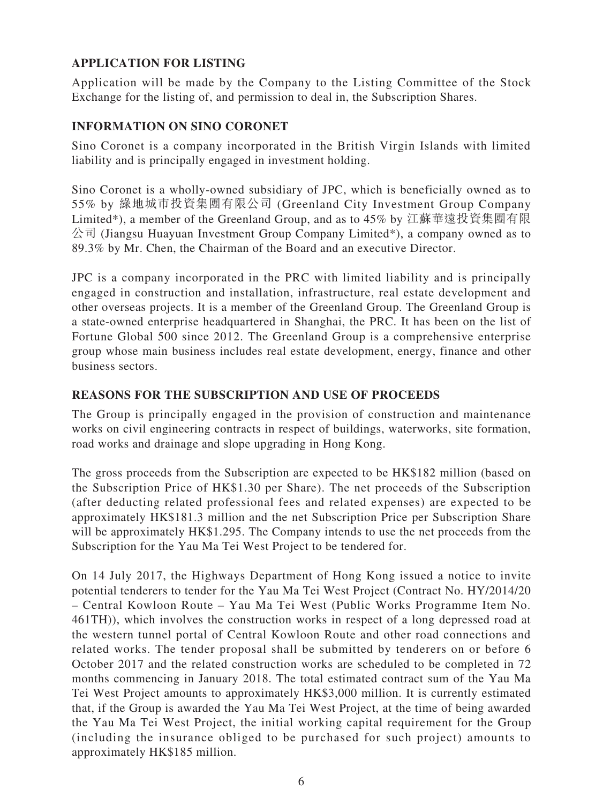# **APPLICATION FOR LISTING**

Application will be made by the Company to the Listing Committee of the Stock Exchange for the listing of, and permission to deal in, the Subscription Shares.

#### **INFORMATION ON SINO CORONET**

Sino Coronet is a company incorporated in the British Virgin Islands with limited liability and is principally engaged in investment holding.

Sino Coronet is a wholly-owned subsidiary of JPC, which is beneficially owned as to 55% by 綠地城市投資集團有限公司 (Greenland City Investment Group Company Limited\*), a member of the Greenland Group, and as to 45% by 江蘇華遠投資集團有限 公司 (Jiangsu Huayuan Investment Group Company Limited\*), a company owned as to 89.3% by Mr. Chen, the Chairman of the Board and an executive Director.

JPC is a company incorporated in the PRC with limited liability and is principally engaged in construction and installation, infrastructure, real estate development and other overseas projects. It is a member of the Greenland Group. The Greenland Group is a state-owned enterprise headquartered in Shanghai, the PRC. It has been on the list of Fortune Global 500 since 2012. The Greenland Group is a comprehensive enterprise group whose main business includes real estate development, energy, finance and other business sectors.

#### **REASONS FOR THE SUBSCRIPTION AND USE OF PROCEEDS**

The Group is principally engaged in the provision of construction and maintenance works on civil engineering contracts in respect of buildings, waterworks, site formation, road works and drainage and slope upgrading in Hong Kong.

The gross proceeds from the Subscription are expected to be HK\$182 million (based on the Subscription Price of HK\$1.30 per Share). The net proceeds of the Subscription (after deducting related professional fees and related expenses) are expected to be approximately HK\$181.3 million and the net Subscription Price per Subscription Share will be approximately HK\$1.295. The Company intends to use the net proceeds from the Subscription for the Yau Ma Tei West Project to be tendered for.

On 14 July 2017, the Highways Department of Hong Kong issued a notice to invite potential tenderers to tender for the Yau Ma Tei West Project (Contract No. HY/2014/20 – Central Kowloon Route – Yau Ma Tei West (Public Works Programme Item No. 461TH)), which involves the construction works in respect of a long depressed road at the western tunnel portal of Central Kowloon Route and other road connections and related works. The tender proposal shall be submitted by tenderers on or before 6 October 2017 and the related construction works are scheduled to be completed in 72 months commencing in January 2018. The total estimated contract sum of the Yau Ma Tei West Project amounts to approximately HK\$3,000 million. It is currently estimated that, if the Group is awarded the Yau Ma Tei West Project, at the time of being awarded the Yau Ma Tei West Project, the initial working capital requirement for the Group (including the insurance obliged to be purchased for such project) amounts to approximately HK\$185 million.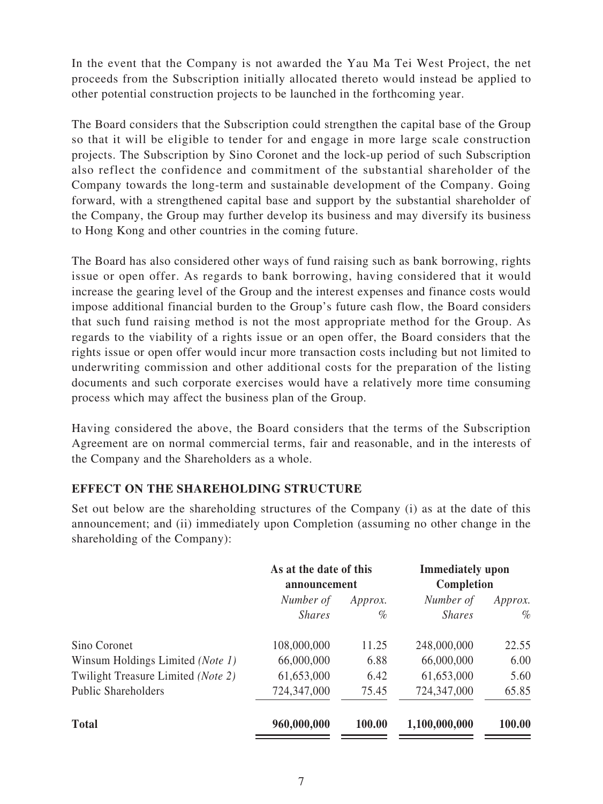In the event that the Company is not awarded the Yau Ma Tei West Project, the net proceeds from the Subscription initially allocated thereto would instead be applied to other potential construction projects to be launched in the forthcoming year.

The Board considers that the Subscription could strengthen the capital base of the Group so that it will be eligible to tender for and engage in more large scale construction projects. The Subscription by Sino Coronet and the lock-up period of such Subscription also reflect the confidence and commitment of the substantial shareholder of the Company towards the long-term and sustainable development of the Company. Going forward, with a strengthened capital base and support by the substantial shareholder of the Company, the Group may further develop its business and may diversify its business to Hong Kong and other countries in the coming future.

The Board has also considered other ways of fund raising such as bank borrowing, rights issue or open offer. As regards to bank borrowing, having considered that it would increase the gearing level of the Group and the interest expenses and finance costs would impose additional financial burden to the Group's future cash flow, the Board considers that such fund raising method is not the most appropriate method for the Group. As regards to the viability of a rights issue or an open offer, the Board considers that the rights issue or open offer would incur more transaction costs including but not limited to underwriting commission and other additional costs for the preparation of the listing documents and such corporate exercises would have a relatively more time consuming process which may affect the business plan of the Group.

Having considered the above, the Board considers that the terms of the Subscription Agreement are on normal commercial terms, fair and reasonable, and in the interests of the Company and the Shareholders as a whole.

#### **EFFECT ON THE SHAREHOLDING STRUCTURE**

Set out below are the shareholding structures of the Company (i) as at the date of this announcement; and (ii) immediately upon Completion (assuming no other change in the shareholding of the Company):

|                                    | As at the date of this<br>announcement |         | <b>Immediately</b> upon<br>Completion |         |
|------------------------------------|----------------------------------------|---------|---------------------------------------|---------|
|                                    | Number of                              | Approx. | Number of                             | Approx. |
|                                    | <i>Shares</i>                          | %       | <i>Shares</i>                         | $\%$    |
| Sino Coronet                       | 108,000,000                            | 11.25   | 248,000,000                           | 22.55   |
| Winsum Holdings Limited (Note 1)   | 66,000,000                             | 6.88    | 66,000,000                            | 6.00    |
| Twilight Treasure Limited (Note 2) | 61,653,000                             | 6.42    | 61,653,000                            | 5.60    |
| <b>Public Shareholders</b>         | 724,347,000                            | 75.45   | 724,347,000                           | 65.85   |
| <b>Total</b>                       | 960,000,000                            | 100.00  | 1,100,000,000                         | 100.00  |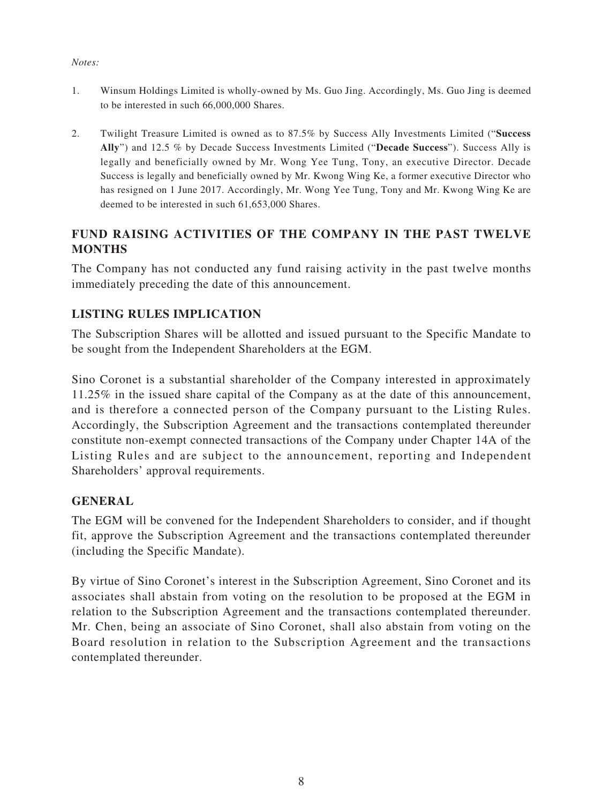#### *Notes:*

- 1. Winsum Holdings Limited is wholly-owned by Ms. Guo Jing. Accordingly, Ms. Guo Jing is deemed to be interested in such 66,000,000 Shares.
- 2. Twilight Treasure Limited is owned as to 87.5% by Success Ally Investments Limited ("**Success Ally**") and 12.5 % by Decade Success Investments Limited ("**Decade Success**"). Success Ally is legally and beneficially owned by Mr. Wong Yee Tung, Tony, an executive Director. Decade Success is legally and beneficially owned by Mr. Kwong Wing Ke, a former executive Director who has resigned on 1 June 2017. Accordingly, Mr. Wong Yee Tung, Tony and Mr. Kwong Wing Ke are deemed to be interested in such 61,653,000 Shares.

# **FUND RAISING ACTIVITIES OF THE COMPANY IN THE PAST TWELVE MONTHS**

The Company has not conducted any fund raising activity in the past twelve months immediately preceding the date of this announcement.

# **LISTING RULES IMPLICATION**

The Subscription Shares will be allotted and issued pursuant to the Specific Mandate to be sought from the Independent Shareholders at the EGM.

Sino Coronet is a substantial shareholder of the Company interested in approximately 11.25% in the issued share capital of the Company as at the date of this announcement, and is therefore a connected person of the Company pursuant to the Listing Rules. Accordingly, the Subscription Agreement and the transactions contemplated thereunder constitute non-exempt connected transactions of the Company under Chapter 14A of the Listing Rules and are subject to the announcement, reporting and Independent Shareholders' approval requirements.

## **GENERAL**

The EGM will be convened for the Independent Shareholders to consider, and if thought fit, approve the Subscription Agreement and the transactions contemplated thereunder (including the Specific Mandate).

By virtue of Sino Coronet's interest in the Subscription Agreement, Sino Coronet and its associates shall abstain from voting on the resolution to be proposed at the EGM in relation to the Subscription Agreement and the transactions contemplated thereunder. Mr. Chen, being an associate of Sino Coronet, shall also abstain from voting on the Board resolution in relation to the Subscription Agreement and the transactions contemplated thereunder.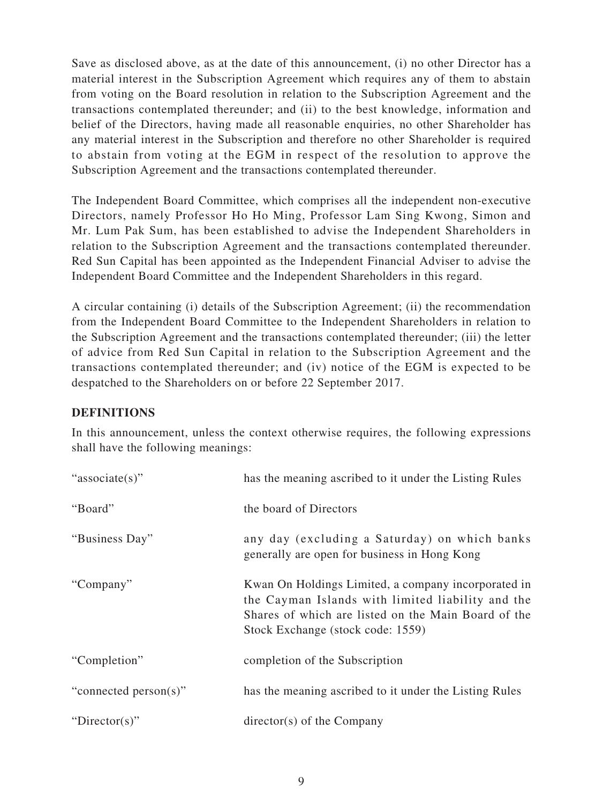Save as disclosed above, as at the date of this announcement, (i) no other Director has a material interest in the Subscription Agreement which requires any of them to abstain from voting on the Board resolution in relation to the Subscription Agreement and the transactions contemplated thereunder; and (ii) to the best knowledge, information and belief of the Directors, having made all reasonable enquiries, no other Shareholder has any material interest in the Subscription and therefore no other Shareholder is required to abstain from voting at the EGM in respect of the resolution to approve the Subscription Agreement and the transactions contemplated thereunder.

The Independent Board Committee, which comprises all the independent non-executive Directors, namely Professor Ho Ho Ming, Professor Lam Sing Kwong, Simon and Mr. Lum Pak Sum, has been established to advise the Independent Shareholders in relation to the Subscription Agreement and the transactions contemplated thereunder. Red Sun Capital has been appointed as the Independent Financial Adviser to advise the Independent Board Committee and the Independent Shareholders in this regard.

A circular containing (i) details of the Subscription Agreement; (ii) the recommendation from the Independent Board Committee to the Independent Shareholders in relation to the Subscription Agreement and the transactions contemplated thereunder; (iii) the letter of advice from Red Sun Capital in relation to the Subscription Agreement and the transactions contemplated thereunder; and (iv) notice of the EGM is expected to be despatched to the Shareholders on or before 22 September 2017.

#### **DEFINITIONS**

In this announcement, unless the context otherwise requires, the following expressions shall have the following meanings:

| "associate(s)"        | has the meaning ascribed to it under the Listing Rules                                                                                                                                               |
|-----------------------|------------------------------------------------------------------------------------------------------------------------------------------------------------------------------------------------------|
| "Board"               | the board of Directors                                                                                                                                                                               |
| "Business Day"        | any day (excluding a Saturday) on which banks<br>generally are open for business in Hong Kong                                                                                                        |
| "Company"             | Kwan On Holdings Limited, a company incorporated in<br>the Cayman Islands with limited liability and the<br>Shares of which are listed on the Main Board of the<br>Stock Exchange (stock code: 1559) |
| "Completion"          | completion of the Subscription                                                                                                                                                                       |
| "connected person(s)" | has the meaning ascribed to it under the Listing Rules                                                                                                                                               |
| "Director(s)"         | $\text{directory}(s)$ of the Company                                                                                                                                                                 |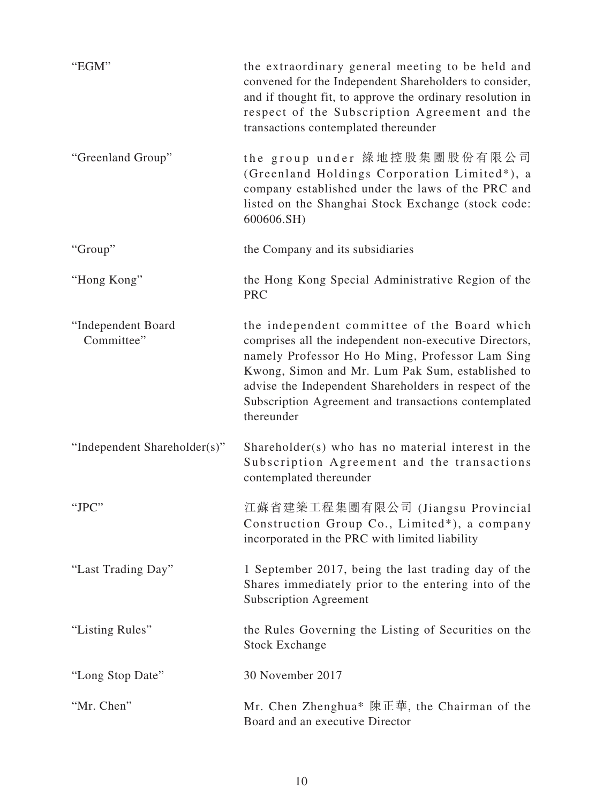| "EGM"                            | the extraordinary general meeting to be held and<br>convened for the Independent Shareholders to consider,<br>and if thought fit, to approve the ordinary resolution in<br>respect of the Subscription Agreement and the<br>transactions contemplated thereunder                                                                             |
|----------------------------------|----------------------------------------------------------------------------------------------------------------------------------------------------------------------------------------------------------------------------------------------------------------------------------------------------------------------------------------------|
| "Greenland Group"                | the group under 綠地控股集團股份有限公司<br>(Greenland Holdings Corporation Limited*), a<br>company established under the laws of the PRC and<br>listed on the Shanghai Stock Exchange (stock code:<br>600606.SH)                                                                                                                                        |
| "Group"                          | the Company and its subsidiaries                                                                                                                                                                                                                                                                                                             |
| "Hong Kong"                      | the Hong Kong Special Administrative Region of the<br><b>PRC</b>                                                                                                                                                                                                                                                                             |
| "Independent Board<br>Committee" | the independent committee of the Board which<br>comprises all the independent non-executive Directors,<br>namely Professor Ho Ho Ming, Professor Lam Sing<br>Kwong, Simon and Mr. Lum Pak Sum, established to<br>advise the Independent Shareholders in respect of the<br>Subscription Agreement and transactions contemplated<br>thereunder |
| "Independent Shareholder(s)"     | Shareholder(s) who has no material interest in the<br>Subscription Agreement and the transactions<br>contemplated thereunder                                                                                                                                                                                                                 |
| "JPC"                            | 江蘇省建築工程集團有限公司 (Jiangsu Provincial<br>Construction Group Co., Limited*), a company<br>incorporated in the PRC with limited liability                                                                                                                                                                                                          |
| "Last Trading Day"               | 1 September 2017, being the last trading day of the<br>Shares immediately prior to the entering into of the<br><b>Subscription Agreement</b>                                                                                                                                                                                                 |
| "Listing Rules"                  | the Rules Governing the Listing of Securities on the<br><b>Stock Exchange</b>                                                                                                                                                                                                                                                                |
| "Long Stop Date"                 | 30 November 2017                                                                                                                                                                                                                                                                                                                             |
| "Mr. Chen"                       | Mr. Chen Zhenghua* 陳正華, the Chairman of the<br>Board and an executive Director                                                                                                                                                                                                                                                               |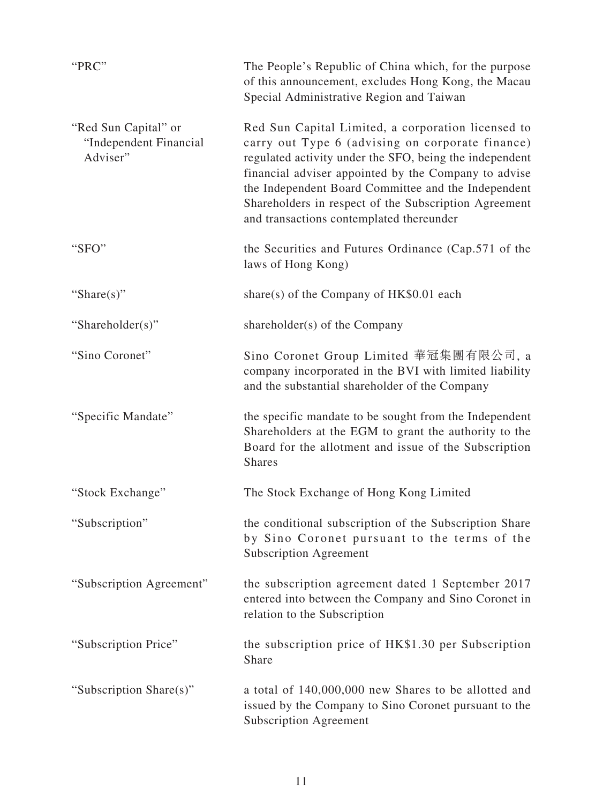| "PRC"                                                      | The People's Republic of China which, for the purpose<br>of this announcement, excludes Hong Kong, the Macau<br>Special Administrative Region and Taiwan                                                                                                                                                                                                                              |
|------------------------------------------------------------|---------------------------------------------------------------------------------------------------------------------------------------------------------------------------------------------------------------------------------------------------------------------------------------------------------------------------------------------------------------------------------------|
| "Red Sun Capital" or<br>"Independent Financial<br>Adviser" | Red Sun Capital Limited, a corporation licensed to<br>carry out Type 6 (advising on corporate finance)<br>regulated activity under the SFO, being the independent<br>financial adviser appointed by the Company to advise<br>the Independent Board Committee and the Independent<br>Shareholders in respect of the Subscription Agreement<br>and transactions contemplated thereunder |
| "SFO"                                                      | the Securities and Futures Ordinance (Cap.571 of the<br>laws of Hong Kong)                                                                                                                                                                                                                                                                                                            |
| "Share $(s)$ "                                             | share(s) of the Company of HK\$0.01 each                                                                                                                                                                                                                                                                                                                                              |
| "Shareholder(s)"                                           | shareholder(s) of the Company                                                                                                                                                                                                                                                                                                                                                         |
| "Sino Coronet"                                             | Sino Coronet Group Limited 華冠集團有限公司, a<br>company incorporated in the BVI with limited liability<br>and the substantial shareholder of the Company                                                                                                                                                                                                                                    |
| "Specific Mandate"                                         | the specific mandate to be sought from the Independent<br>Shareholders at the EGM to grant the authority to the<br>Board for the allotment and issue of the Subscription<br><b>Shares</b>                                                                                                                                                                                             |
| "Stock Exchange"                                           | The Stock Exchange of Hong Kong Limited                                                                                                                                                                                                                                                                                                                                               |
| "Subscription"                                             | the conditional subscription of the Subscription Share<br>by Sino Coronet pursuant to the terms of the<br><b>Subscription Agreement</b>                                                                                                                                                                                                                                               |
| "Subscription Agreement"                                   | the subscription agreement dated 1 September 2017<br>entered into between the Company and Sino Coronet in<br>relation to the Subscription                                                                                                                                                                                                                                             |
| "Subscription Price"                                       | the subscription price of HK\$1.30 per Subscription<br>Share                                                                                                                                                                                                                                                                                                                          |
| "Subscription Share(s)"                                    | a total of 140,000,000 new Shares to be allotted and<br>issued by the Company to Sino Coronet pursuant to the<br><b>Subscription Agreement</b>                                                                                                                                                                                                                                        |